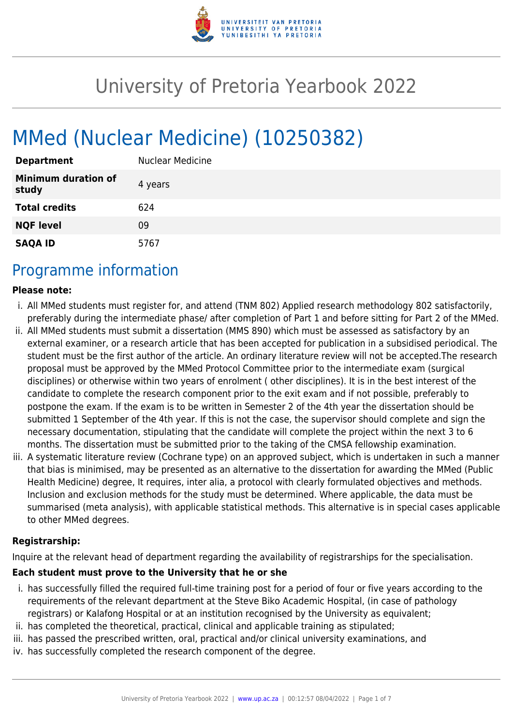

# University of Pretoria Yearbook 2022

# MMed (Nuclear Medicine) (10250382)

| <b>Department</b>                   | <b>Nuclear Medicine</b> |
|-------------------------------------|-------------------------|
| <b>Minimum duration of</b><br>study | 4 years                 |
| <b>Total credits</b>                | 624                     |
| <b>NQF level</b>                    | 09                      |
| <b>SAQA ID</b>                      | 5767                    |

## Programme information

#### **Please note:**

- i. All MMed students must register for, and attend (TNM 802) Applied research methodology 802 satisfactorily, preferably during the intermediate phase/ after completion of Part 1 and before sitting for Part 2 of the MMed.
- ii. All MMed students must submit a dissertation (MMS 890) which must be assessed as satisfactory by an external examiner, or a research article that has been accepted for publication in a subsidised periodical. The student must be the first author of the article. An ordinary literature review will not be accepted.The research proposal must be approved by the MMed Protocol Committee prior to the intermediate exam (surgical disciplines) or otherwise within two years of enrolment ( other disciplines). It is in the best interest of the candidate to complete the research component prior to the exit exam and if not possible, preferably to postpone the exam. If the exam is to be written in Semester 2 of the 4th year the dissertation should be submitted 1 September of the 4th year. If this is not the case, the supervisor should complete and sign the necessary documentation, stipulating that the candidate will complete the project within the next 3 to 6 months. The dissertation must be submitted prior to the taking of the CMSA fellowship examination.
- iii. A systematic literature review (Cochrane type) on an approved subject, which is undertaken in such a manner that bias is minimised, may be presented as an alternative to the dissertation for awarding the MMed (Public Health Medicine) degree, It requires, inter alia, a protocol with clearly formulated objectives and methods. Inclusion and exclusion methods for the study must be determined. Where applicable, the data must be summarised (meta analysis), with applicable statistical methods. This alternative is in special cases applicable to other MMed degrees.

#### **Registrarship:**

Inquire at the relevant head of department regarding the availability of registrarships for the specialisation.

#### **Each student must prove to the University that he or she**

- i. has successfully filled the required full-time training post for a period of four or five years according to the requirements of the relevant department at the Steve Biko Academic Hospital, (in case of pathology registrars) or Kalafong Hospital or at an institution recognised by the University as equivalent;
- ii. has completed the theoretical, practical, clinical and applicable training as stipulated;
- iii. has passed the prescribed written, oral, practical and/or clinical university examinations, and
- iv. has successfully completed the research component of the degree.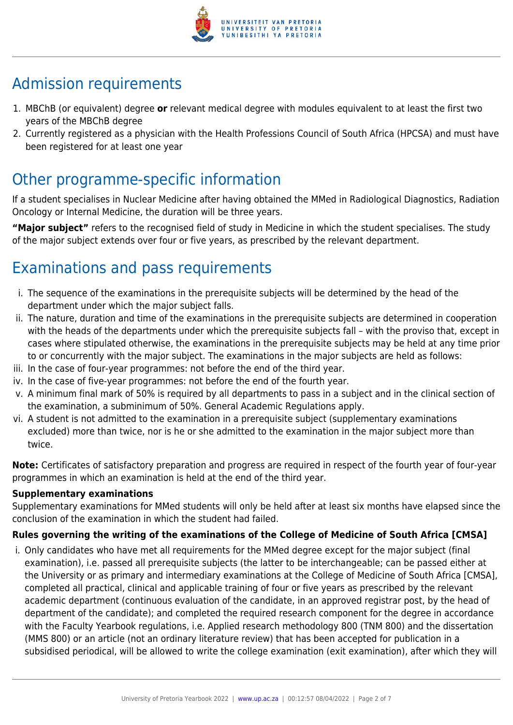

# Admission requirements

- 1. MBChB (or equivalent) degree **or** relevant medical degree with modules equivalent to at least the first two years of the MBChB degree
- 2. Currently registered as a physician with the Health Professions Council of South Africa (HPCSA) and must have been registered for at least one year

## Other programme-specific information

If a student specialises in Nuclear Medicine after having obtained the MMed in Radiological Diagnostics, Radiation Oncology or Internal Medicine, the duration will be three years.

**"Major subject"** refers to the recognised field of study in Medicine in which the student specialises. The study of the major subject extends over four or five years, as prescribed by the relevant department.

# Examinations and pass requirements

- i. The sequence of the examinations in the prerequisite subjects will be determined by the head of the department under which the major subject falls.
- ii. The nature, duration and time of the examinations in the prerequisite subjects are determined in cooperation with the heads of the departments under which the prerequisite subjects fall – with the proviso that, except in cases where stipulated otherwise, the examinations in the prerequisite subjects may be held at any time prior to or concurrently with the major subject. The examinations in the major subjects are held as follows:
- iii. In the case of four-year programmes: not before the end of the third year.
- iv. In the case of five-year programmes: not before the end of the fourth year.
- v. A minimum final mark of 50% is required by all departments to pass in a subject and in the clinical section of the examination, a subminimum of 50%. General Academic Regulations apply.
- vi. A student is not admitted to the examination in a prerequisite subject (supplementary examinations excluded) more than twice, nor is he or she admitted to the examination in the major subject more than twice.

**Note:** Certificates of satisfactory preparation and progress are required in respect of the fourth year of four-year programmes in which an examination is held at the end of the third year.

#### **Supplementary examinations**

Supplementary examinations for MMed students will only be held after at least six months have elapsed since the conclusion of the examination in which the student had failed.

#### **Rules governing the writing of the examinations of the College of Medicine of South Africa [CMSA]**

i. Only candidates who have met all requirements for the MMed degree except for the major subject (final examination), i.e. passed all prerequisite subjects (the latter to be interchangeable; can be passed either at the University or as primary and intermediary examinations at the College of Medicine of South Africa [CMSA], completed all practical, clinical and applicable training of four or five years as prescribed by the relevant academic department (continuous evaluation of the candidate, in an approved registrar post, by the head of department of the candidate); and completed the required research component for the degree in accordance with the Faculty Yearbook regulations, i.e. Applied research methodology 800 (TNM 800) and the dissertation (MMS 800) or an article (not an ordinary literature review) that has been accepted for publication in a subsidised periodical, will be allowed to write the college examination (exit examination), after which they will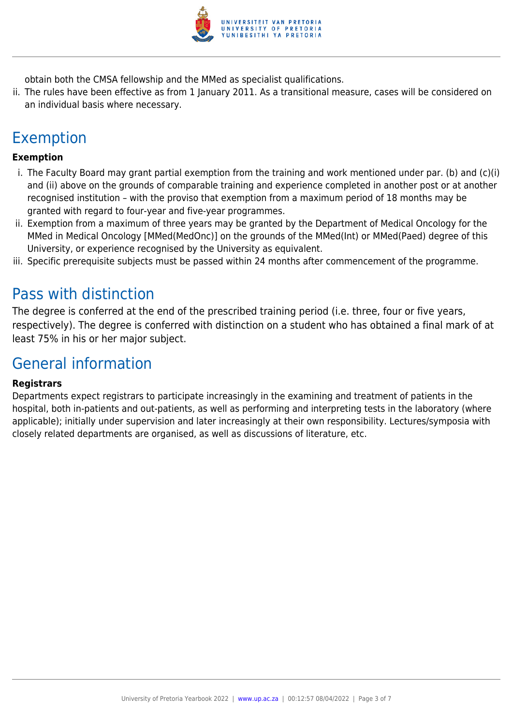

obtain both the CMSA fellowship and the MMed as specialist qualifications.

ii. The rules have been effective as from 1 January 2011. As a transitional measure, cases will be considered on an individual basis where necessary.

# Exemption

#### **Exemption**

- i. The Faculty Board may grant partial exemption from the training and work mentioned under par. (b) and (c)(i) and (ii) above on the grounds of comparable training and experience completed in another post or at another recognised institution – with the proviso that exemption from a maximum period of 18 months may be granted with regard to four-year and five-year programmes.
- ii. Exemption from a maximum of three years may be granted by the Department of Medical Oncology for the MMed in Medical Oncology [MMed(MedOnc)] on the grounds of the MMed(Int) or MMed(Paed) degree of this University, or experience recognised by the University as equivalent.
- iii. Specific prerequisite subjects must be passed within 24 months after commencement of the programme.

### Pass with distinction

The degree is conferred at the end of the prescribed training period (i.e. three, four or five years, respectively). The degree is conferred with distinction on a student who has obtained a final mark of at least 75% in his or her major subject.

### General information

#### **Registrars**

Departments expect registrars to participate increasingly in the examining and treatment of patients in the hospital, both in-patients and out-patients, as well as performing and interpreting tests in the laboratory (where applicable); initially under supervision and later increasingly at their own responsibility. Lectures/symposia with closely related departments are organised, as well as discussions of literature, etc.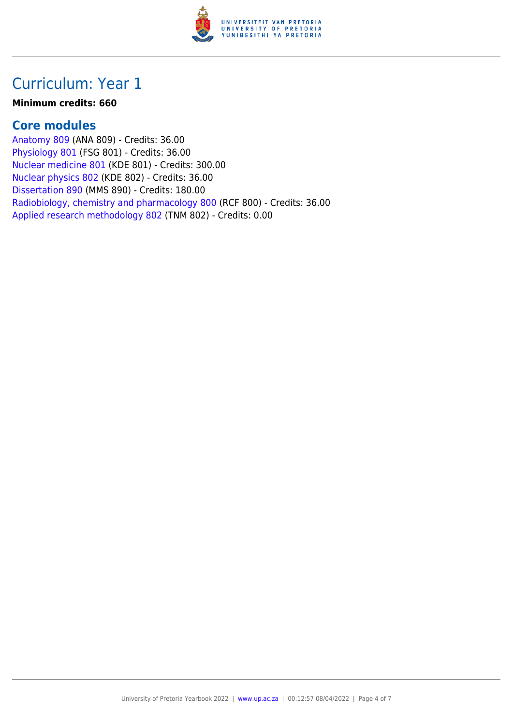

## Curriculum: Year 1

#### **Minimum credits: 660**

### **Core modules**

[Anatomy 809](https://www.up.ac.za/faculty-of-education/yearbooks/2022/modules/view/ANA 809) (ANA 809) - Credits: 36.00 [Physiology 801](https://www.up.ac.za/faculty-of-education/yearbooks/2022/modules/view/FSG 801) (FSG 801) - Credits: 36.00 [Nuclear medicine 801](https://www.up.ac.za/faculty-of-education/yearbooks/2022/modules/view/KDE 801) (KDE 801) - Credits: 300.00 [Nuclear physics 802](https://www.up.ac.za/faculty-of-education/yearbooks/2022/modules/view/KDE 802) (KDE 802) - Credits: 36.00 [Dissertation 890](https://www.up.ac.za/faculty-of-education/yearbooks/2022/modules/view/MMS 890) (MMS 890) - Credits: 180.00 [Radiobiology, chemistry and pharmacology 800](https://www.up.ac.za/faculty-of-education/yearbooks/2022/modules/view/RCF 800) (RCF 800) - Credits: 36.00 [Applied research methodology 802](https://www.up.ac.za/faculty-of-education/yearbooks/2022/modules/view/TNM 802) (TNM 802) - Credits: 0.00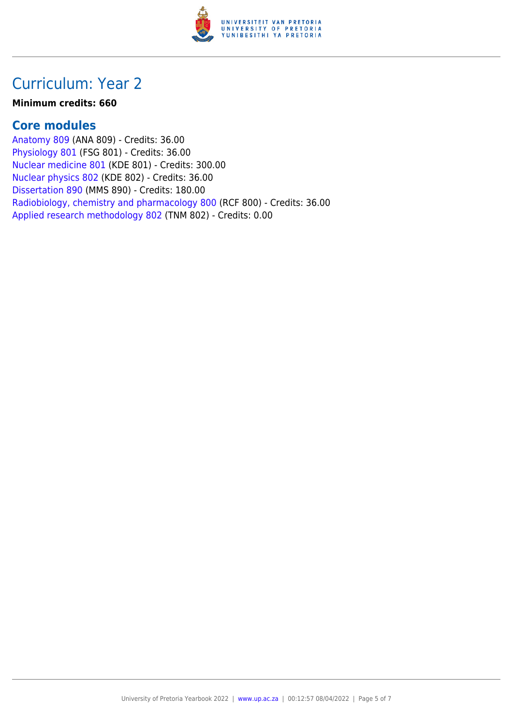

## Curriculum: Year 2

#### **Minimum credits: 660**

### **Core modules**

[Anatomy 809](https://www.up.ac.za/faculty-of-education/yearbooks/2022/modules/view/ANA 809) (ANA 809) - Credits: 36.00 [Physiology 801](https://www.up.ac.za/faculty-of-education/yearbooks/2022/modules/view/FSG 801) (FSG 801) - Credits: 36.00 [Nuclear medicine 801](https://www.up.ac.za/faculty-of-education/yearbooks/2022/modules/view/KDE 801) (KDE 801) - Credits: 300.00 [Nuclear physics 802](https://www.up.ac.za/faculty-of-education/yearbooks/2022/modules/view/KDE 802) (KDE 802) - Credits: 36.00 [Dissertation 890](https://www.up.ac.za/faculty-of-education/yearbooks/2022/modules/view/MMS 890) (MMS 890) - Credits: 180.00 [Radiobiology, chemistry and pharmacology 800](https://www.up.ac.za/faculty-of-education/yearbooks/2022/modules/view/RCF 800) (RCF 800) - Credits: 36.00 [Applied research methodology 802](https://www.up.ac.za/faculty-of-education/yearbooks/2022/modules/view/TNM 802) (TNM 802) - Credits: 0.00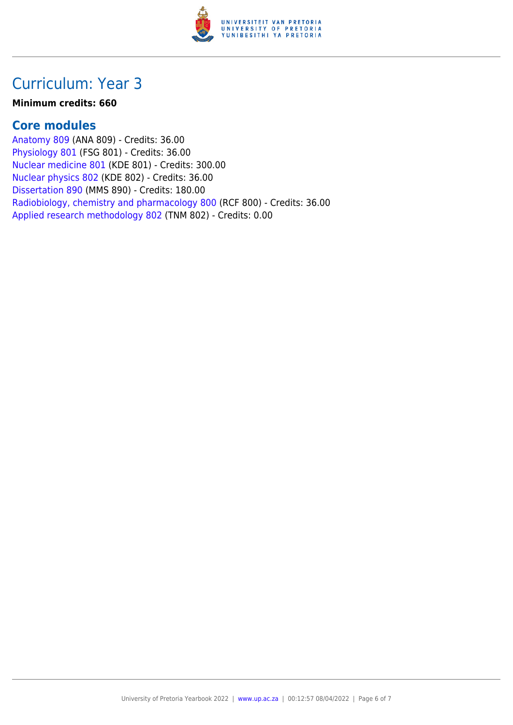

## Curriculum: Year 3

#### **Minimum credits: 660**

### **Core modules**

[Anatomy 809](https://www.up.ac.za/faculty-of-education/yearbooks/2022/modules/view/ANA 809) (ANA 809) - Credits: 36.00 [Physiology 801](https://www.up.ac.za/faculty-of-education/yearbooks/2022/modules/view/FSG 801) (FSG 801) - Credits: 36.00 [Nuclear medicine 801](https://www.up.ac.za/faculty-of-education/yearbooks/2022/modules/view/KDE 801) (KDE 801) - Credits: 300.00 [Nuclear physics 802](https://www.up.ac.za/faculty-of-education/yearbooks/2022/modules/view/KDE 802) (KDE 802) - Credits: 36.00 [Dissertation 890](https://www.up.ac.za/faculty-of-education/yearbooks/2022/modules/view/MMS 890) (MMS 890) - Credits: 180.00 [Radiobiology, chemistry and pharmacology 800](https://www.up.ac.za/faculty-of-education/yearbooks/2022/modules/view/RCF 800) (RCF 800) - Credits: 36.00 [Applied research methodology 802](https://www.up.ac.za/faculty-of-education/yearbooks/2022/modules/view/TNM 802) (TNM 802) - Credits: 0.00